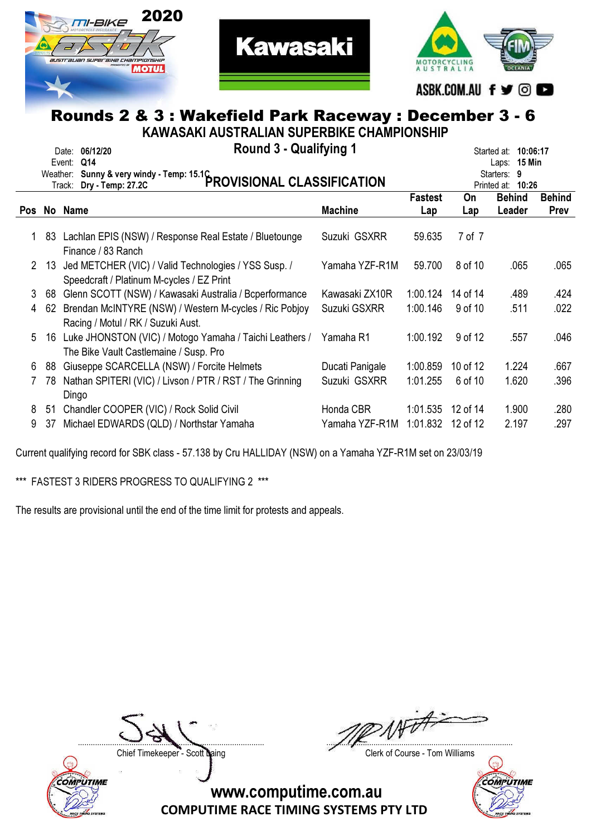



**Kawasaki** 

KAWASAKI AUSTRALIAN SUPERBIKE CHAMPIONSHIP

|     |    | <b>Round 3 - Qualifying 1</b><br>Date: 06/12/20<br>Event: Q14                                     |                                                                |          |                                       | Started at: <b>10:06:17</b><br>15 Min<br>Laps: |      |  |
|-----|----|---------------------------------------------------------------------------------------------------|----------------------------------------------------------------|----------|---------------------------------------|------------------------------------------------|------|--|
|     |    | Weather:<br>Track: Dry - Temp: 27.2C                                                              | Sunny & very windy - Temp: 15.1C<br>PROVISIONAL CLASSIFICATION |          |                                       |                                                |      |  |
|     |    |                                                                                                   | <b>Fastest</b>                                                 | On       | Printed at:<br>10:26<br><b>Behind</b> | <b>Behind</b>                                  |      |  |
| Pos |    | No Name                                                                                           | <b>Machine</b>                                                 | Lap      | Lap                                   | Leader                                         | Prev |  |
|     | 83 | Lachlan EPIS (NSW) / Response Real Estate / Bluetounge<br>Finance / 83 Ranch                      | Suzuki GSXRR                                                   | 59.635   | 7 of 7                                |                                                |      |  |
| 2   | 13 | Jed METCHER (VIC) / Valid Technologies / YSS Susp. /<br>Speedcraft / Platinum M-cycles / EZ Print | Yamaha YZF-R1M                                                 | 59.700   | 8 of 10                               | .065                                           | .065 |  |
| 3   | 68 | Glenn SCOTT (NSW) / Kawasaki Australia / Bcperformance                                            | Kawasaki ZX10R                                                 | 1:00.124 | 14 of 14                              | .489                                           | .424 |  |
| 4   | 62 | Brendan McINTYRE (NSW) / Western M-cycles / Ric Pobjoy<br>Racing / Motul / RK / Suzuki Aust.      | Suzuki GSXRR                                                   | 1:00.146 | 9 of 10                               | .511                                           | .022 |  |
| 5   | 16 | Luke JHONSTON (VIC) / Motogo Yamaha / Taichi Leathers /<br>The Bike Vault Castlemaine / Susp. Pro | Yamaha R1                                                      | 1:00.192 | 9 of 12                               | .557                                           | .046 |  |
| 6   | 88 | Giuseppe SCARCELLA (NSW) / Forcite Helmets                                                        | Ducati Panigale                                                | 1:00.859 | 10 of 12                              | 1.224                                          | .667 |  |
|     | 78 | Nathan SPITERI (VIC) / Livson / PTR / RST / The Grinning<br>Dingo                                 | Suzuki GSXRR                                                   | 1:01.255 | 6 of 10                               | 1.620                                          | .396 |  |
| 8   | 51 | Chandler COOPER (VIC) / Rock Solid Civil                                                          | Honda CBR                                                      | 1:01.535 | 12 of 14                              | 1.900                                          | .280 |  |
| 9   | 37 | Michael EDWARDS (QLD) / Northstar Yamaha                                                          | Yamaha YZF-R1M                                                 | 1:01.832 | 12 of 12                              | 2.197                                          | .297 |  |

Current qualifying record for SBK class - 57.138 by Cru HALLIDAY (NSW) on a Yamaha YZF-R1M set on 23/03/19

\*\*\* FASTEST 3 RIDERS PROGRESS TO QUALIFYING 2 \*\*\*

The results are provisional until the end of the time limit for protests and appeals.



**Mith** ....................................................................................... .......................................................................................

Chief Timekeeper - Scott Laing Chief Timekeeper - Scott Laing

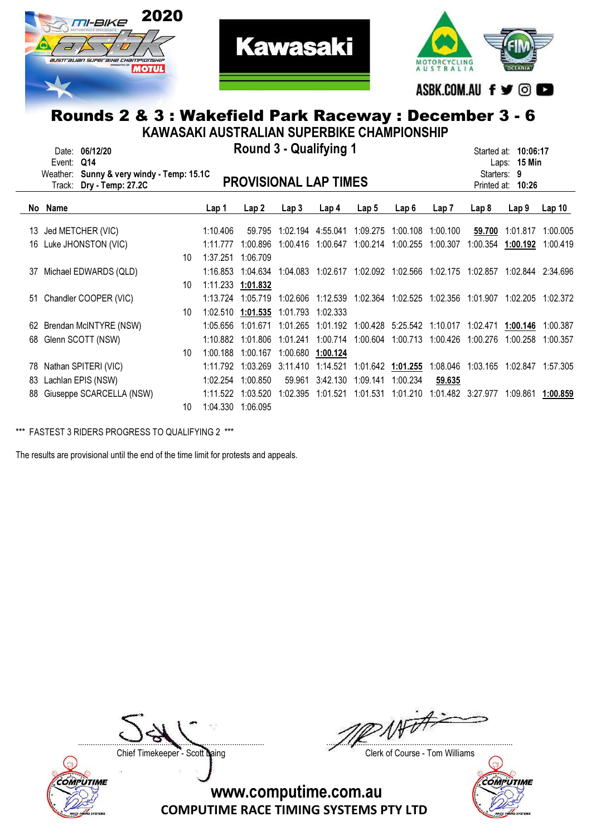



**Kawasaki** 

|                                                                                                                                                                              | Rounds 2 & 3 : Wakefield Park Raceway : December 3 - 6<br>KAWASAKI AUSTRALIAN SUPERBIKE CHAMPIONSHIP |                 |          |                       |                                     |                   |                                                            |                            |                                     |                                                                          |                                                                                           |          |  |
|------------------------------------------------------------------------------------------------------------------------------------------------------------------------------|------------------------------------------------------------------------------------------------------|-----------------|----------|-----------------------|-------------------------------------|-------------------|------------------------------------------------------------|----------------------------|-------------------------------------|--------------------------------------------------------------------------|-------------------------------------------------------------------------------------------|----------|--|
| <b>Round 3 - Qualifying 1</b><br>Date: 06/12/20<br>Q14<br>Event:<br>Sunny & very windy - Temp: 15.1C<br>Weather:<br><b>PROVISIONAL LAP TIMES</b><br>Track: Dry - Temp: 27.2C |                                                                                                      |                 |          |                       |                                     |                   |                                                            |                            |                                     | Started at: 10:06:17<br>Laps: 15 Min<br>Starters: 9<br>Printed at: 10:26 |                                                                                           |          |  |
|                                                                                                                                                                              | No Name                                                                                              |                 | Lap 1    | Lap2                  | Lap3                                | Lap 4             | Lap <sub>5</sub>                                           | Lap 6                      | Lap7                                | Lap <sub>8</sub>                                                         | Lap <sub>9</sub>                                                                          | Lap10    |  |
|                                                                                                                                                                              | 13 Jed METCHER (VIC)                                                                                 |                 | 1:10.406 | 59.795                |                                     | 1:02.194 4:55.041 | 1:09.275                                                   | 1:00.108                   | 1:00.100                            | 59.700                                                                   | 1:01.817                                                                                  | 1:00.005 |  |
|                                                                                                                                                                              | 16 Luke JHONSTON (VIC)                                                                               |                 | 1:11.777 | 1:00.896              | 1:00.416                            | 1:00.647          |                                                            | 1:00.214 1:00.255 1:00.307 |                                     | 1:00.354                                                                 | 1:00.192                                                                                  | 1:00.419 |  |
|                                                                                                                                                                              |                                                                                                      | 10              | 1:37.251 | 1:06.709              |                                     |                   |                                                            |                            |                                     |                                                                          |                                                                                           |          |  |
|                                                                                                                                                                              | 37 Michael EDWARDS (QLD)                                                                             |                 |          | $1:16.853$ $1:04.634$ |                                     |                   | 1:04.083  1:02.617  1:02.092  1:02.566  1:02.175  1:02.857 |                            |                                     |                                                                          | 1:02.844 2:34.696                                                                         |          |  |
|                                                                                                                                                                              |                                                                                                      | 10 <sup>1</sup> |          | 1:11.233 1:01.832     |                                     |                   |                                                            |                            |                                     |                                                                          |                                                                                           |          |  |
|                                                                                                                                                                              | 51 Chandler COOPER (VIC)                                                                             |                 |          |                       |                                     |                   |                                                            |                            |                                     |                                                                          | 1:13.724 1:05.719 1:02.606 1:12.539 1:02.364 1:02.525 1:02.356 1:01.907 1:02.205 1:02.372 |          |  |
|                                                                                                                                                                              |                                                                                                      | 10              |          |                       | 1:02.510 1:01.535 1:01.793 1:02.333 |                   |                                                            |                            |                                     |                                                                          |                                                                                           |          |  |
|                                                                                                                                                                              | 62 Brendan McINTYRE (NSW)                                                                            |                 |          |                       | 1:01.265                            |                   |                                                            |                            |                                     |                                                                          | 1:01.192 1:00.428 5:25.542 1:10.017 1:02.471 1:00.146                                     | 1:00.387 |  |
|                                                                                                                                                                              | 68 Glenn SCOTT (NSW)                                                                                 |                 |          | 1:10.882 1:01.806     |                                     | 1:01.241 1:00.714 |                                                            |                            | 1:00.604 1:00.713 1:00.426 1:00.276 |                                                                          | 1:00.258                                                                                  | 1:00.357 |  |
|                                                                                                                                                                              |                                                                                                      | 10              | 1:00.188 | 1:00.167              |                                     | 1:00.680 1:00.124 |                                                            |                            |                                     |                                                                          |                                                                                           |          |  |
|                                                                                                                                                                              | 78 Nathan SPITERI (VIC)                                                                              |                 |          |                       | 1:11.792  1:03.269  3:11.410        | 1:14.521          |                                                            |                            |                                     |                                                                          | 1:01.642 1:01.255 1:08.046 1:03.165 1:02.847 1:57.305                                     |          |  |
|                                                                                                                                                                              | 83 Lachlan EPIS (NSW)                                                                                |                 |          | 1:02.254 1:00.850     |                                     | 59.961 3:42.130   |                                                            | 1:09.141 1:00.234          | 59.635                              |                                                                          |                                                                                           |          |  |
|                                                                                                                                                                              | 88 Giuseppe SCARCELLA (NSW)                                                                          |                 |          |                       |                                     |                   |                                                            |                            |                                     |                                                                          | 1:01.531  1:01.210  1:01.482  3:27.977  1:09.861  1:00.859                                |          |  |

\*\*\* FASTEST 3 RIDERS PROGRESS TO QUALIFYING 2 \*\*\*

The results are provisional until the end of the time limit for protests and appeals.

10 1:04.330 1:06.095



**N** ....................................................................................... .......................................................................................

Chief Timekeeper - Scott Laing Chief Timekeeper - Scott Laing

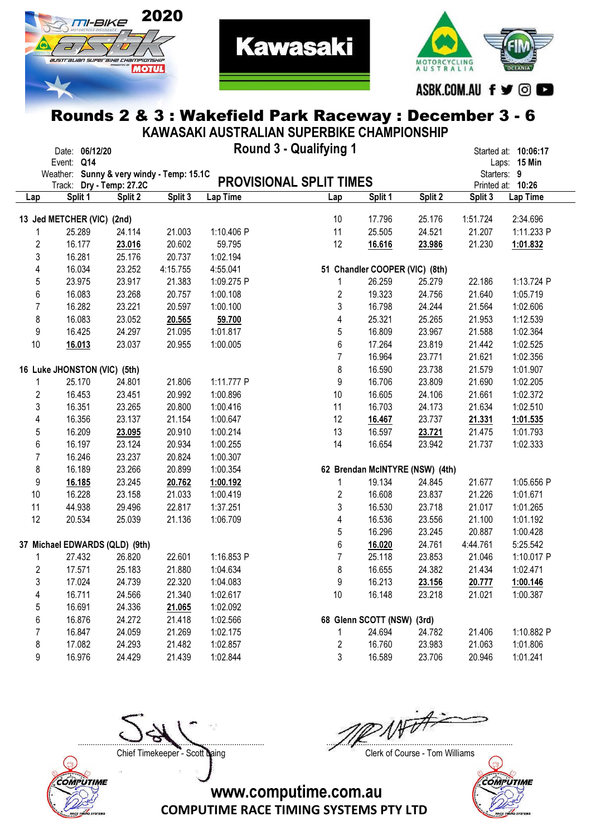



**Kawasaki** 

|                         |                                           |         |          | KAWASAKI AUSTRALIAN SUPERBIKE CHAMPIONSHIP |                                |                                 |         |          |                      |  |
|-------------------------|-------------------------------------------|---------|----------|--------------------------------------------|--------------------------------|---------------------------------|---------|----------|----------------------|--|
|                         | Date: 06/12/20                            |         |          |                                            | <b>Round 3 - Qualifying 1</b>  |                                 |         |          | Started at: 10:06:17 |  |
|                         | Event: Q14                                |         |          |                                            |                                |                                 |         |          | Laps: 15 Min         |  |
|                         | Weather: Sunny & very windy - Temp: 15.1C |         |          |                                            |                                |                                 |         |          | Starters: 9          |  |
|                         | Track: Dry - Temp: 27.2C                  |         |          |                                            | <b>PROVISIONAL SPLIT TIMES</b> |                                 |         |          | Printed at: 10:26    |  |
| Lap                     | Split 1                                   | Split 2 | Split 3  | Lap Time                                   | Lap                            | Split 1                         | Split 2 | Split 3  | Lap Time             |  |
|                         | 13 Jed METCHER (VIC) (2nd)                |         |          |                                            | 10                             | 17.796                          | 25.176  | 1:51.724 | 2:34.696             |  |
| 1                       | 25.289                                    | 24.114  | 21.003   | 1:10.406 P                                 | 11                             | 25.505                          | 24.521  | 21.207   | 1:11.233 P           |  |
| 2                       | 16.177                                    | 23.016  | 20.602   | 59.795                                     | 12                             | 16.616                          | 23.986  | 21.230   | 1:01.832             |  |
| 3                       | 16.281                                    | 25.176  | 20.737   | 1:02.194                                   |                                |                                 |         |          |                      |  |
| 4                       | 16.034                                    | 23.252  | 4:15.755 | 4:55.041                                   |                                | 51 Chandler COOPER (VIC) (8th)  |         |          |                      |  |
| 5                       | 23.975                                    | 23.917  | 21.383   | 1:09.275 P                                 | 1                              | 26.259                          | 25.279  | 22.186   | 1:13.724 P           |  |
| 6                       | 16.083                                    | 23.268  | 20.757   | 1:00.108                                   | $\sqrt{2}$                     | 19.323                          | 24.756  | 21.640   | 1:05.719             |  |
| $\overline{7}$          | 16.282                                    | 23.221  | 20.597   | 1:00.100                                   | 3                              | 16.798                          | 24.244  | 21.564   | 1:02.606             |  |
| 8                       | 16.083                                    | 23.052  | 20.565   | 59.700                                     | 4                              | 25.321                          | 25.265  | 21.953   | 1:12.539             |  |
| 9                       | 16.425                                    | 24.297  | 21.095   | 1:01.817                                   | $\overline{5}$                 | 16.809                          | 23.967  | 21.588   | 1:02.364             |  |
| 10                      |                                           |         |          |                                            | 6                              | 17.264                          | 23.819  |          |                      |  |
|                         | 16.013                                    | 23.037  | 20.955   | 1:00.005                                   | $\overline{7}$                 | 16.964                          |         | 21.442   | 1:02.525             |  |
|                         |                                           |         |          |                                            |                                |                                 | 23.771  | 21.621   | 1:02.356             |  |
|                         | 16 Luke JHONSTON (VIC) (5th)              |         |          |                                            | 8                              | 16.590                          | 23.738  | 21.579   | 1:01.907             |  |
| 1                       | 25.170                                    | 24.801  | 21.806   | 1:11.777 P                                 | 9                              | 16.706                          | 23.809  | 21.690   | 1:02.205             |  |
| $\overline{\mathbf{c}}$ | 16.453                                    | 23.451  | 20.992   | 1:00.896                                   | 10                             | 16.605                          | 24.106  | 21.661   | 1:02.372             |  |
| 3                       | 16.351                                    | 23.265  | 20.800   | 1:00.416                                   | 11                             | 16.703                          | 24.173  | 21.634   | 1:02.510             |  |
| 4                       | 16.356                                    | 23.137  | 21.154   | 1:00.647                                   | 12                             | 16.467                          | 23.737  | 21.331   | 1:01.535             |  |
| 5                       | 16.209                                    | 23.095  | 20.910   | 1:00.214                                   | 13                             | 16.597                          | 23.721  | 21.475   | 1:01.793             |  |
| 6                       | 16.197                                    | 23.124  | 20.934   | 1:00.255                                   | 14                             | 16.654                          | 23.942  | 21.737   | 1:02.333             |  |
| $\overline{7}$          | 16.246                                    | 23.237  | 20.824   | 1:00.307                                   |                                |                                 |         |          |                      |  |
| 8                       | 16.189                                    | 23.266  | 20.899   | 1:00.354                                   |                                | 62 Brendan McINTYRE (NSW) (4th) |         |          |                      |  |
| 9                       | 16.185                                    | 23.245  | 20.762   | 1:00.192                                   | 1                              | 19.134                          | 24.845  | 21.677   | 1:05.656 P           |  |
| 10                      | 16.228                                    | 23.158  | 21.033   | 1:00.419                                   | $\overline{2}$                 | 16.608                          | 23.837  | 21.226   | 1:01.671             |  |
| 11                      | 44.938                                    | 29.496  | 22.817   | 1:37.251                                   | 3                              | 16.530                          | 23.718  | 21.017   | 1:01.265             |  |
| 12                      | 20.534                                    | 25.039  | 21.136   | 1:06.709                                   | $\overline{\mathbf{4}}$        | 16.536                          | 23.556  | 21.100   | 1:01.192             |  |
|                         |                                           |         |          |                                            | 5                              | 16.296                          | 23.245  | 20.887   | 1:00.428             |  |
|                         | 37 Michael EDWARDS (QLD) (9th)            |         |          |                                            | 6                              | 16.020                          | 24.761  | 4:44.761 | 5:25.542             |  |
| 1                       | 27.432                                    | 26.820  | 22.601   | 1:16.853 P                                 | $\overline{7}$                 | 25.118                          | 23.853  | 21.046   | 1:10.017 P           |  |
| 2                       | 17.571                                    | 25.183  | 21.880   | 1:04.634                                   | 8                              | 16.655                          | 24.382  | 21.434   | 1:02.471             |  |
| 3                       | 17.024                                    | 24.739  | 22.320   | 1:04.083                                   | 9                              | 16.213                          | 23.156  | 20.777   | 1:00.146             |  |
| 4                       | 16.711                                    | 24.566  | 21.340   | 1:02.617                                   | 10                             | 16.148                          | 23.218  | 21.021   | 1:00.387             |  |
| 5                       | 16.691                                    | 24.336  | 21.065   | 1:02.092                                   |                                |                                 |         |          |                      |  |
| 6                       | 16.876                                    | 24.272  | 21.418   | 1:02.566                                   |                                | 68 Glenn SCOTT (NSW) (3rd)      |         |          |                      |  |
| $\overline{7}$          | 16.847                                    | 24.059  | 21.269   | 1:02.175                                   | 1                              | 24.694                          | 24.782  | 21.406   | 1:10.882 P           |  |
| 8                       | 17.082                                    | 24.293  | 21.482   | 1:02.857                                   | 2                              | 16.760                          | 23.983  | 21.063   | 1:01.806             |  |
| 9                       | 16.976                                    | 24.429  | 21.439   | 1:02.844                                   | 3                              | 16.589                          | 23.706  | 20.946   | 1:01.241             |  |



....................................................................................... .......................................................................................

Chief Timekeeper - Scott Laing Chief Timekeeper - Scott Laing

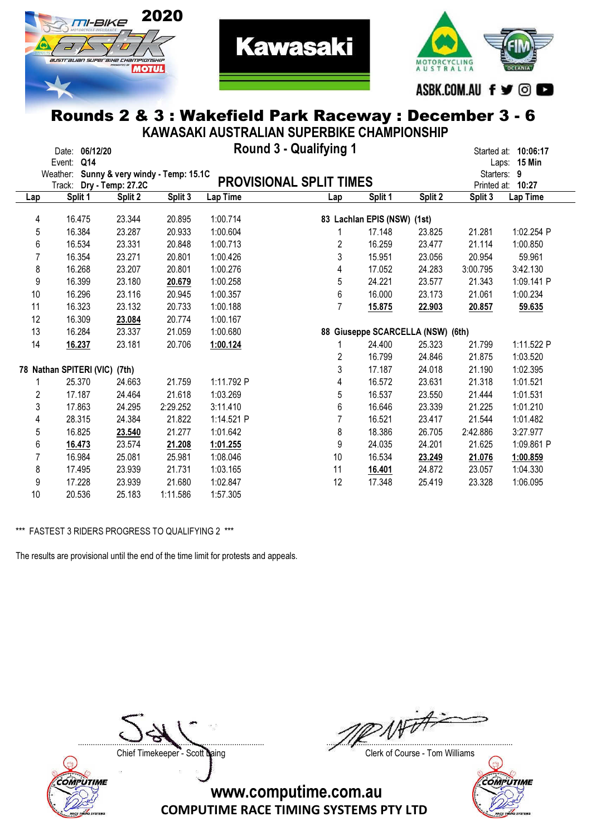



**Kawasaki** 

| KAWASAKI AUSTRALIAN SUPERBIKE CHAMPIONSHIP |                               |                                  |          |            |                                |                             |                                   |             |                      |  |
|--------------------------------------------|-------------------------------|----------------------------------|----------|------------|--------------------------------|-----------------------------|-----------------------------------|-------------|----------------------|--|
|                                            | Date: 06/12/20                |                                  |          |            | <b>Round 3 - Qualifying 1</b>  |                             |                                   |             | Started at: 10:06:17 |  |
|                                            | Q14<br>Event:                 |                                  |          |            |                                |                             |                                   | Laps:       | 15 Min               |  |
|                                            | Weather:                      | Sunny & very windy - Temp: 15.1C |          |            | <b>PROVISIONAL SPLIT TIMES</b> |                             |                                   | Starters: 9 |                      |  |
|                                            | Track:                        | Dry - Temp: 27.2C                |          |            |                                |                             |                                   | Printed at: | 10:27                |  |
| Lap                                        | Split 1                       | Split 2                          | Split 3  | Lap Time   | Lap                            | Split 1                     | Split 2                           | Split 3     | Lap Time             |  |
| 4                                          | 16.475                        | 23.344                           | 20.895   | 1:00.714   |                                | 83 Lachlan EPIS (NSW) (1st) |                                   |             |                      |  |
| 5                                          | 16.384                        | 23.287                           | 20.933   | 1:00.604   |                                | 17.148                      | 23.825                            | 21.281      | 1:02.254 P           |  |
| 6                                          | 16.534                        | 23.331                           | 20.848   | 1:00.713   | 2                              | 16.259                      | 23.477                            | 21.114      | 1:00.850             |  |
| 7                                          | 16.354                        | 23.271                           | 20.801   | 1:00.426   | 3                              | 15.951                      | 23.056                            | 20.954      | 59.961               |  |
| 8                                          | 16.268                        | 23.207                           | 20.801   | 1:00.276   | 4                              | 17.052                      | 24.283                            | 3:00.795    | 3:42.130             |  |
| 9                                          | 16.399                        | 23.180                           | 20.679   | 1:00.258   | 5                              | 24.221                      | 23.577                            | 21.343      | 1:09.141 P           |  |
| 10                                         | 16.296                        | 23.116                           | 20.945   | 1:00.357   | 6                              | 16.000                      | 23.173                            | 21.061      | 1:00.234             |  |
| 11                                         | 16.323                        | 23.132                           | 20.733   | 1:00.188   | $\overline{7}$                 | 15.875                      | 22.903                            | 20.857      | 59.635               |  |
| 12                                         | 16.309                        | 23.084                           | 20.774   | 1:00.167   |                                |                             |                                   |             |                      |  |
| 13                                         | 16.284                        | 23.337                           | 21.059   | 1:00.680   |                                |                             | 88 Giuseppe SCARCELLA (NSW) (6th) |             |                      |  |
| 14                                         | 16.237                        | 23.181                           | 20.706   | 1:00.124   |                                | 24.400                      | 25.323                            | 21.799      | 1:11.522 P           |  |
|                                            |                               |                                  |          |            | 2                              | 16.799                      | 24.846                            | 21.875      | 1:03.520             |  |
|                                            | 78 Nathan SPITERI (VIC) (7th) |                                  |          |            | 3                              | 17.187                      | 24.018                            | 21.190      | 1:02.395             |  |
| 1                                          | 25.370                        | 24.663                           | 21.759   | 1:11.792 P | 4                              | 16.572                      | 23.631                            | 21.318      | 1:01.521             |  |
| 2                                          | 17.187                        | 24.464                           | 21.618   | 1:03.269   | 5                              | 16.537                      | 23.550                            | 21.444      | 1:01.531             |  |
| 3                                          | 17.863                        | 24.295                           | 2:29.252 | 3:11.410   | 6                              | 16.646                      | 23.339                            | 21.225      | 1:01.210             |  |
| 4                                          | 28.315                        | 24.384                           | 21.822   | 1:14.521 P | $\overline{7}$                 | 16.521                      | 23.417                            | 21.544      | 1:01.482             |  |
| 5                                          | 16.825                        | 23.540                           | 21.277   | 1:01.642   | 8                              | 18.386                      | 26.705                            | 2:42.886    | 3:27.977             |  |
| 6                                          | 16.473                        | 23.574                           | 21.208   | 1:01.255   | 9                              | 24.035                      | 24.201                            | 21.625      | 1:09.861 P           |  |
| $\overline{7}$                             | 16.984                        | 25.081                           | 25.981   | 1:08.046   | 10                             | 16.534                      | 23.249                            | 21.076      | 1:00.859             |  |
| 8                                          | 17.495                        | 23.939                           | 21.731   | 1:03.165   | 11                             | 16.401                      | 24.872                            | 23.057      | 1:04.330             |  |
| 9                                          | 17.228                        | 23.939                           | 21.680   | 1:02.847   | 12                             | 17.348                      | 25.419                            | 23.328      | 1:06.095             |  |
| 10                                         | 20.536                        | 25.183                           | 1:11.586 | 1:57.305   |                                |                             |                                   |             |                      |  |

\*\*\* FASTEST 3 RIDERS PROGRESS TO QUALIFYING 2 \*\*\*

The results are provisional until the end of the time limit for protests and appeals.



....................................................................................... .......................................................................................

Chief Timekeeper - Scott Laing Chief Timekeeper - Scott Laing

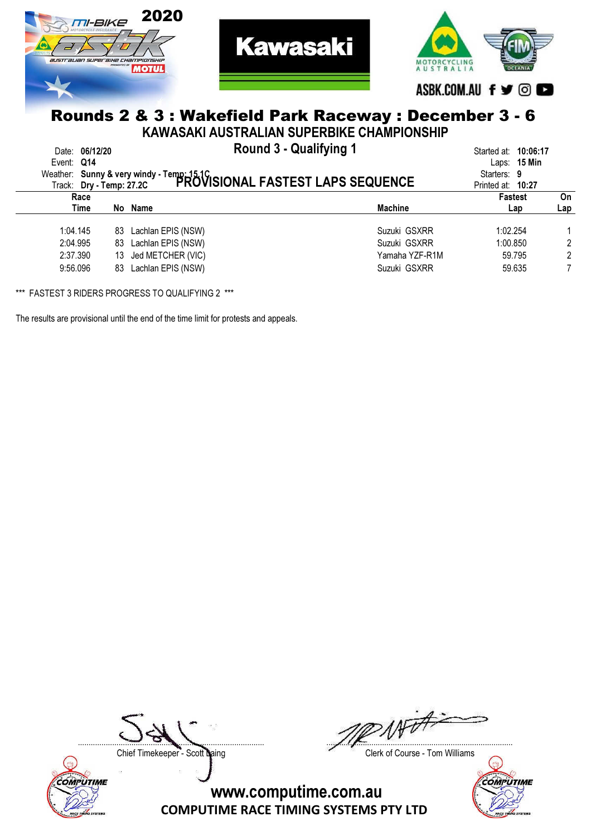



**Kawasaki** 

KAWASAKI AUSTRALIAN SUPERBIKE CHAMPIONSHIP

| Event: Q14 | Date: 06/12/20 |                       | <b>Round 3 - Qualifying 1</b><br>Weather: Sunny & very windy - Temp: 15.1C<br>Track: Drv - Temp: 27.2C PROVISIONAL FASTEST LAPS SEQUENCE |                |     |
|------------|----------------|-----------------------|------------------------------------------------------------------------------------------------------------------------------------------|----------------|-----|
|            | Race           |                       |                                                                                                                                          | <b>Fastest</b> | On  |
|            | Time           | No Name               | <b>Machine</b>                                                                                                                           | Lap            | Lap |
| 1:04.145   |                | 83 Lachlan EPIS (NSW) | Suzuki GSXRR                                                                                                                             | 1:02.254       |     |
| 2:04.995   |                | 83 Lachlan EPIS (NSW) | Suzuki GSXRR                                                                                                                             | 1:00.850       |     |
| 2:37.390   | 13             | Jed METCHER (VIC)     | Yamaha YZF-R1M                                                                                                                           | 59.795         |     |
| 9:56.096   | 83             | Lachlan EPIS (NSW)    | Suzuki GSXRR                                                                                                                             | 59.635         |     |

\*\*\* FASTEST 3 RIDERS PROGRESS TO QUALIFYING 2 \*\*\*

The results are provisional until the end of the time limit for protests and appeals.



....................................................................................... .......................................................................................

Chief Timekeeper - Scott Laing Chief Timekeeper - Scott Laing

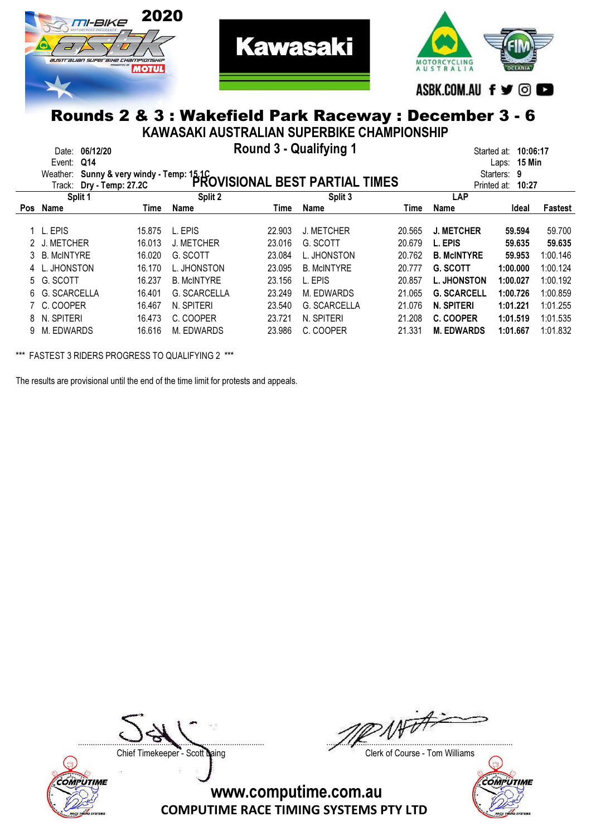



**Kawasaki** 

KAWASAKI AUSTRALIAN SUPERBIKE CHAMPIONSHIP

|            | Date:              | 06/12/20                 |        |                                                                                      |        | Round 3 - Qualifying 1 |        | Started at:        | 10:06:17     |          |
|------------|--------------------|--------------------------|--------|--------------------------------------------------------------------------------------|--------|------------------------|--------|--------------------|--------------|----------|
|            | Event: Q14         |                          |        |                                                                                      |        |                        |        |                    | Laps: 15 Min |          |
|            | Weather:           |                          |        | Sunny & very windy - Temp: 15.1C<br>Dry - Tomp: 27.2C PROVISIONAL BEST PARTIAL TIMES |        |                        |        |                    | Starters: 9  |          |
|            |                    | Track: Dry - Temp: 27.2C |        |                                                                                      |        |                        |        | Printed at:        | 10:27        |          |
|            |                    | Split 1                  |        | Split 2                                                                              |        | Split 3                |        | <b>LAP</b>         |              |          |
| <b>Pos</b> | Name               |                          | Time   | Name                                                                                 | Time   | <b>Name</b>            | Time   | Name               | Ideal        | Fastest  |
|            |                    |                          |        |                                                                                      |        |                        |        |                    |              |          |
|            | 1 L. EPIS          |                          | 15.875 | L. EPIS                                                                              | 22.903 | <b>J. METCHER</b>      | 20.565 | <b>J. METCHER</b>  | 59.594       | 59.700   |
|            | 2 J. METCHER       |                          | 16.013 | <b>J. METCHER</b>                                                                    | 23.016 | G. SCOTT               | 20.679 | L. EPIS            | 59.635       | 59.635   |
| 3          | <b>B. McINTYRE</b> |                          | 16.020 | G. SCOTT                                                                             | 23.084 | L. JHONSTON            | 20.762 | <b>B. McINTYRE</b> | 59,953       | 1:00.146 |
|            | JHONSTON           |                          | 16.170 | L. JHONSTON                                                                          | 23.095 | <b>B. McINTYRE</b>     | 20.777 | G. SCOTT           | 1:00.000     | 1:00.124 |
|            | 5 G. SCOTT         |                          | 16.237 | <b>B. McINTYRE</b>                                                                   | 23.156 | L. EPIS                | 20.857 | <b>L. JHONSTON</b> | 1:00.027     | 1:00.192 |
| 6.         | G. SCARCELLA       |                          | 16.401 | <b>G. SCARCELLA</b>                                                                  | 23.249 | M. EDWARDS             | 21.065 | <b>G. SCARCELL</b> | 1:00.726     | 1:00.859 |
|            | 7 C. COOPER        |                          | 16.467 | N. SPITERI                                                                           | 23.540 | G. SCARCELLA           | 21.076 | N. SPITERI         | 1:01.221     | 1:01.255 |
| 8          | N. SPITERI         |                          | 16.473 | C. COOPER                                                                            | 23.721 | N. SPITERI             | 21.208 | C. COOPER          | 1:01.519     | 1:01.535 |
| 9          | M. EDWARDS         |                          | 16.616 | M. EDWARDS                                                                           | 23.986 | C. COOPER              | 21.331 | <b>M. EDWARDS</b>  | 1:01.667     | 1:01.832 |
|            |                    |                          |        |                                                                                      |        |                        |        |                    |              |          |

\*\*\* FASTEST 3 RIDERS PROGRESS TO QUALIFYING 2 \*\*\*

The results are provisional until the end of the time limit for protests and appeals.



....................................................................................... .......................................................................................

Chief Timekeeper - Scott Laing Chief Timekeeper - Scott Laing